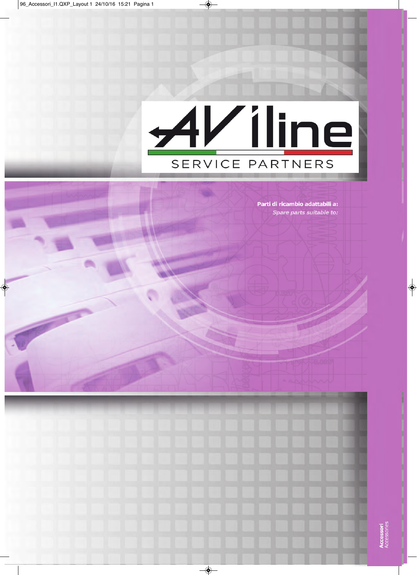# AViline SERVICE PARTNERS

Parti di ricambio adattabili a: Spare parts suitable to: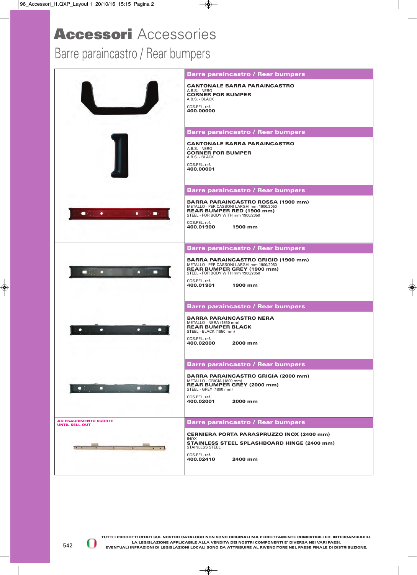## Barre paraincastro / Rear bumpers

|                                                       | <b>Barre paraincastro / Rear bumpers</b>                                                                                     |
|-------------------------------------------------------|------------------------------------------------------------------------------------------------------------------------------|
|                                                       | <b>CANTONALE BARRA PARAINCASTRO</b><br>A.B.S. - NERO                                                                         |
|                                                       | <b>CORNER FOR BUMPER</b><br>A.B.S. - BLACK                                                                                   |
|                                                       | COS.PEL. ref.<br>400.00000                                                                                                   |
|                                                       |                                                                                                                              |
|                                                       | <b>Barre paraincastro / Rear bumpers</b>                                                                                     |
|                                                       | <b>CANTONALE BARRA PARAINCASTRO</b><br>A.B.S. - NERO                                                                         |
|                                                       | <b>CORNER FOR BUMPER</b><br>A.B.S. - BLACK                                                                                   |
|                                                       | COS.PEL. ref.<br>400.00001                                                                                                   |
|                                                       |                                                                                                                              |
|                                                       | <b>Barre paraincastro / Rear bumpers</b>                                                                                     |
|                                                       | <b>BARRA PARAINCASTRO ROSSA (1900 mm)</b><br>METALLO - PER CASSONI LARGHI mm 1900/2050<br><b>REAR BUMPER RED (1900 mm)</b>   |
|                                                       | STEEL - FOR BODY WITH mm 1900/2050<br>COS.PEL. ref.                                                                          |
|                                                       | 400.01900<br>1900 mm                                                                                                         |
|                                                       |                                                                                                                              |
|                                                       | <b>Barre paraincastro / Rear bumpers</b>                                                                                     |
|                                                       | <b>BARRA PARAINCASTRO GRIGIO (1900 mm)</b><br>METALLO - PER CASSONI LARGHI mm 1900/2050<br><b>REAR BUMPER GREY (1900 mm)</b> |
| а                                                     | STEEL - FOR BODY WITH mm 1900/2050<br>COS.PEL. ref.                                                                          |
|                                                       | 400.01901<br>1900 mm                                                                                                         |
|                                                       | <b>Barre paraincastro / Rear bumpers</b>                                                                                     |
|                                                       | <b>BARRA PARAINCASTRO NERA</b>                                                                                               |
|                                                       | METALLO - NERA (1850 mm)<br><b>REAR BUMPER BLACK</b>                                                                         |
|                                                       | STEEL - BLACK (1850 mm)<br>COS.PEL. ref.                                                                                     |
|                                                       | 400.02000<br>2000 mm                                                                                                         |
|                                                       | <b>Barre paraincastro / Rear bumpers</b>                                                                                     |
|                                                       | <b>BARRA PARAINCASTRO GRIGIA (2000 mm)</b>                                                                                   |
| п                                                     | METALLO - GRIGIA (1800 mm)<br><b>REAR BUMPER GREY (2000 mm)</b><br>STEEL - GREY (1800 mm)                                    |
|                                                       | COS.PEL. ref.                                                                                                                |
|                                                       | 400.02001<br>2000 mm                                                                                                         |
| <b>AD ESAURIMENTO SCORTE</b><br><b>UNTIL SELL-OUT</b> | <b>Barre paraincastro / Rear bumpers</b>                                                                                     |
|                                                       | <b>CERNIERA PORTA PARASPRUZZO INOX (2400 mm)</b>                                                                             |
|                                                       | <b>INOX</b><br><b>STAINLESS STEEL SPLASHBOARD HINGE (2400 mm)</b><br><b>STAINLESS STEEL</b>                                  |
|                                                       | COS.PEL. ref.<br>2400 mm<br>400.02410                                                                                        |
|                                                       |                                                                                                                              |
|                                                       |                                                                                                                              |

0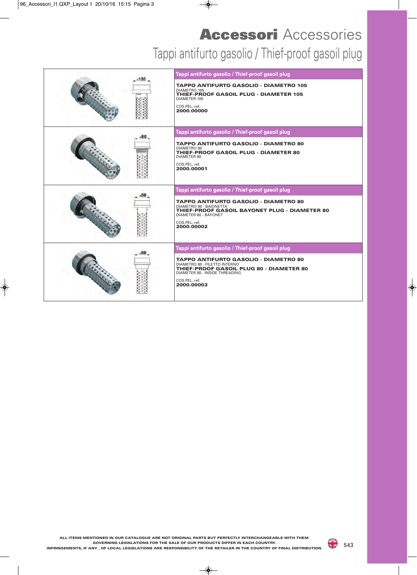# Tappi antifurto gasolio / Thief-proof gasoil plug **Accessori** Accessories

| 0.105 | Tappi antifurto gasolio / Thief-proof gasoil plug<br><b>TAPPO ANTIFURTO GASOLIO - DIAMETRO 105</b><br>DIAMETRO 105<br>THIEF-PROOF GASOIL PLUG - DIAMETER 105<br>DIAMETER 105<br>COS.PEL. ref.<br>2000.00000                                     |
|-------|-------------------------------------------------------------------------------------------------------------------------------------------------------------------------------------------------------------------------------------------------|
|       | Tappi antifurto gasolio / Thief-proof gasoil plug<br><b>TAPPO ANTIFURTO GASOLIO - DIAMETRO 80</b><br><b>DIAMETRO 80</b><br>THIEF-PROOF GASOIL PLUG - DIAMETER 80<br>DIAMETER 80<br>COS.PEL. ref.<br>2000.00001                                  |
|       | Tappi antifurto gasolio / Thief-proof gasoil plug<br><b>TAPPO ANTIFURTO GASOLIO - DIAMETRO 80</b><br>DIAMETRO 80 - BAIONETTA<br>THIEF-PROOF GASOIL BAYONET PLUG - DIAMETER 80<br>DIAMETER 80 - BAYONET<br>COS.PEL. ref.<br>2000.00002           |
|       | Tappi antifurto gasolio / Thief-proof gasoil plug<br><b>TAPPO ANTIFURTO GASOLIO - DIAMETRO 80</b><br>DIAMETRO 80 - FILETTO INTERNO<br>THIEF-PROOF GASOIL PLUG 80 - DIAMETER 80<br>DIAMETER 80 - INSIDE THREADING<br>COS.PEL. ref.<br>2000.00003 |

543

a p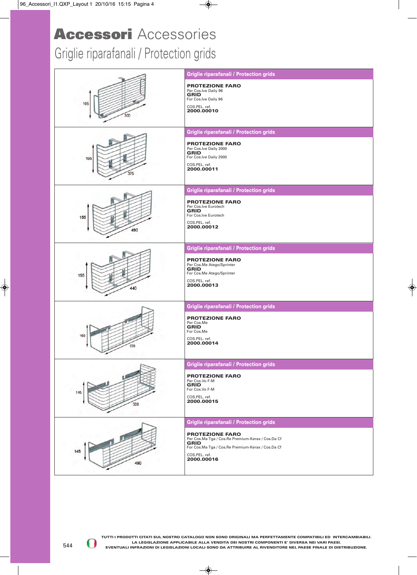#### Griglie riparafanali / Protection grids

| 195<br>300 | <b>Griglie riparafanali / Protection grids</b><br><b>PROTEZIONE FARO</b><br>Per Cos.Ive Daily 96<br><b>GRID</b><br>For Cos.Ive Daily 96<br>COS.PEL. ref.<br>2000.00010                                                           |
|------------|----------------------------------------------------------------------------------------------------------------------------------------------------------------------------------------------------------------------------------|
| 195<br>375 | <b>Griglie riparafanali / Protection grids</b><br><b>PROTEZIONE FARO</b><br>Per Cos.lve Daily 2000<br><b>GRID</b><br>For Cos.lve Daily 2000<br>COS.PEL. ref.<br>2000.00011                                                       |
| 155<br>490 | <b>Griglie riparafanali / Protection grids</b><br><b>PROTEZIONE FARO</b><br>Per Cos.lve Eurotech<br><b>GRID</b><br>For Cos.lve Eurotech<br>COS.PEL. ref.<br>2000.00012                                                           |
| 155<br>440 | <b>Griglie riparafanali / Protection grids</b><br><b>PROTEZIONE FARO</b><br>Per Cos.Me Atego/Sprinter<br><b>GRID</b><br>For Cos.Me Atego/Sprinter<br>COS.PEL. ref.<br>2000.00013                                                 |
| 160<br>570 | <b>Griglie riparafanali / Protection grids</b><br><b>PROTEZIONE FARO</b><br>Per Cos.Me<br><b>GRID</b><br>For Cos.Me<br>COS.PEL. ref.<br>2000.00014                                                                               |
| 500        | <b>Griglie riparafanali / Protection grids</b><br><b>PROTEZIONE FARO</b><br>Per Cos.Vo F-M<br><b>GRID</b><br>For Cos.Vo F-M<br>COS.PEL. ref.<br>2000.00015                                                                       |
| 490        | <b>Griglie riparafanali / Protection grids</b><br><b>PROTEZIONE FARO</b><br>Per Cos.Ma Tga / Cos.Re Premium-Kerax / Cos.Da Cf<br><b>GRID</b><br>For Cos.Ma Tga / Cos.Re Premium-Kerax / Cos.Da Cf<br>COS.PEL. ref.<br>2000.00016 |

544

01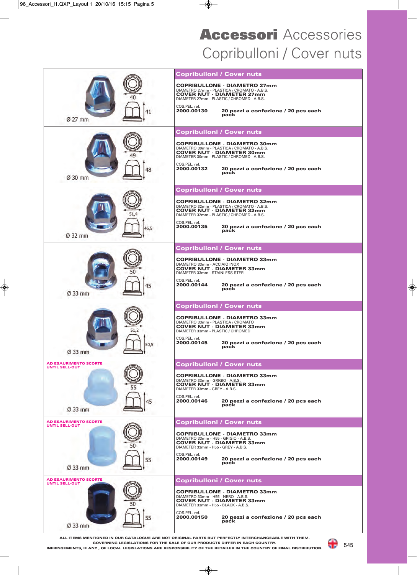## Copribulloni / Cover nuts **Accessori** Accessories

|                                                       |              | <b>Copribulloni / Cover nuts</b>                                                                                                                                                                                                 |
|-------------------------------------------------------|--------------|----------------------------------------------------------------------------------------------------------------------------------------------------------------------------------------------------------------------------------|
|                                                       |              | <b>COPRIBULLONE - DIAMETRO 27mm</b><br>DIAMETRO 27mm - PLASTICA / CROMATO - A.B.S.<br><b>COVER NUT - DIAMETER 27mm</b><br>DIAMETER 27mm - PLASTIC / CHROMED - A.B.S.                                                             |
| $\varnothing$ 27 mm                                   |              | COS.PEL. ref.<br>2000.00130<br>20 pezzi a confezione / 20 pcs each<br>paċk                                                                                                                                                       |
|                                                       |              | <b>Copribulloni / Cover nuts</b>                                                                                                                                                                                                 |
|                                                       |              | <b>COPRIBULLONE - DIAMETRO 30mm</b><br>DIAMETRO 30mm - PLASTICA / CROMATO - A.B.S.<br><b>COVER NUT - DIAMETER 30mm</b><br>DIAMETER 30mm - PLASTIC / CHROMED - A.B.S.<br>COS.PEL. ref.<br>2000.00132                              |
| $\varnothing$ 30 mm                                   | 48           | 20 pezzi a confezione / 20 pcs each<br>paċk                                                                                                                                                                                      |
|                                                       |              | <b>Copribulloni / Cover nuts</b>                                                                                                                                                                                                 |
|                                                       |              | <b>COPRIBULLONE - DIAMETRO 32mm</b><br>DIAMETRO 32mm - PLASTICA / CROMATO - A.B.S.<br><b>COVER NUT - DIAMETER 32mm</b><br>DIAMETER 32mm - PLASTIC / CHROMED - A.B.S.                                                             |
| Ø 32 mm                                               |              | COS.PEL. ref.<br>2000.00135<br>20 pezzi a confezione / 20 pcs each<br>paċk                                                                                                                                                       |
|                                                       |              | <b>Copribulloni / Cover nuts</b>                                                                                                                                                                                                 |
|                                                       |              | <b>COPRIBULLONE - DIAMETRO 33mm</b><br>DIAMETRO 33mm - ACCIAIO INOX<br><b>COVER NUT - DIAMETER 33mm</b><br>DIAMETER 33mm - STAINLESS STEEL<br>COS.PEL. ref.                                                                      |
| Ø 33 mm                                               | 45           | 2000.00144<br>20 pezzi a confezione / 20 pcs each<br>paċk                                                                                                                                                                        |
|                                                       |              | <b>Copribulloni / Cover nuts</b>                                                                                                                                                                                                 |
|                                                       | 51.2<br>50,5 | <b>COPRIBULLONE - DIAMETRO 33mm</b><br>DIAMETRO 33mm - PLASTICA / CROMATO<br><b>COVER NUT - DIAMETER 33mm</b><br>DIAMETER 33mm - PLASTIC / CHROMED<br>COS.PEL. ref.<br>2000.00145<br>20 pezzi a confezione / 20 pcs each<br>paċk |
| $\varnothing$ 33 mm                                   |              |                                                                                                                                                                                                                                  |
| <b>AD ESAURIMENTO SCORTE</b><br><b>UNTIL SELL-OUT</b> |              | <b>Copribulloni / Cover nuts</b>                                                                                                                                                                                                 |
|                                                       |              | <b>COPRIBULLONE - DIAMETRO 33mm</b><br>DIAMETRO 33mm - GRIGIO - A.B.S.<br>COVER NUT - DIAMETER 33mm<br>DIAMETER 33mm - GREY - A.B.S.                                                                                             |
| Ø 33 mm                                               |              | COS.PEL. ref.<br>2000.00146<br>20 pezzi a confezione / 20 pcs each<br>paċk                                                                                                                                                       |
| <b>AD ESAURIMENTO SCORTE</b><br><b>UNTIL SELL-OUT</b> |              | <b>Copribulloni / Cover nuts</b>                                                                                                                                                                                                 |
|                                                       |              | <b>COPRIBULLONE - DIAMETRO 33mm</b><br>DIAMETRO 33mm - H55 - GRIGIO - A.B.S.<br><b>COVER NUT - DIAMETER 33mm</b><br>DIAMETER 33mm - H55 - GREY - A.B.S.                                                                          |
| Ø 33 mm                                               | 55           | COS.PEL. ref.<br>20 pezzi a confezione / 20 pcs each<br>2000.00149<br>paċk                                                                                                                                                       |
| <b>AD ESAURIMENTO SCORTE</b><br><b>UNTIL SELL-OUT</b> |              | <b>Copribulloni / Cover nuts</b>                                                                                                                                                                                                 |
|                                                       |              | <b>COPRIBULLONE - DIAMETRO 33mm</b><br>DIAMETRO 33mm - H55 - NERO - A.B.S.<br><b>COVER NUT - DIAMETER 33mm</b><br>DIAMETER 33mm - H55 - BLACK - A.B.S.                                                                           |
| Ø 33 mm                                               | 55           | COS.PEL. ref.<br>20 pezzi a confezione / 20 pcs each<br>2000.00150<br>paċk                                                                                                                                                       |
|                                                       |              | ALL ITEMS MENTIONED IN OUR CATALOGUE ARE NOT ORIGINAL PARTS BUT PERFECTLY INTERCHANGEABLE WITH THEM.                                                                                                                             |

**GOVERNING LEGISLATIONS FOR THE SALE OF OUR PRODUCTS DIFFER IN EACH COUNTRY.**

**INFRINGEMENTS, IF ANY , OF LOCAL LEGISLATIONS ARE RESPONSIBILITY OF THE RETAILER IN THE COUNTRY OF FINAL DISTRIBUTION.**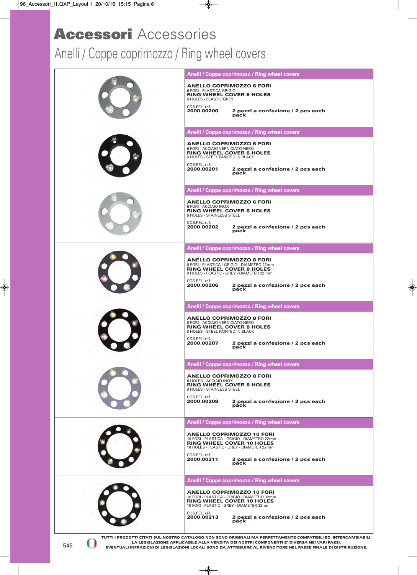#### Anelli / Coppe coprimozzo / Ring wheel covers

|     | Anelli / Coppe coprimozzo / Ring wheel covers                                                                                                                                                                                                                                                 |
|-----|-----------------------------------------------------------------------------------------------------------------------------------------------------------------------------------------------------------------------------------------------------------------------------------------------|
|     | <b>ANELLO COPRIMOZZO 6 FORI</b><br>6 FORI - PLASTICA GRIGIO<br><b>RING WHEEL COVER 6 HOLES</b><br>6 HOLES - PLASTIC GREY                                                                                                                                                                      |
|     | COS.PEL. ref.<br>2000.00200<br>2 pezzi a confezione / 2 pcs each<br>páck                                                                                                                                                                                                                      |
|     | Anelli / Coppe coprimozzo / Ring wheel covers                                                                                                                                                                                                                                                 |
|     | <b>ANELLO COPRIMOZZO 6 FORI</b><br>6 FORI - ACCIAIO VERNICIATO NERO<br><b>RING WHEEL COVER 6 HOLES</b><br>6 HOLES - STEEL PAINTED IN BLACK<br>COS.PEL. ref.<br>2 pezzi a confezione / 2 pcs each<br>2000.00201<br>páck                                                                        |
|     | Anelli / Coppe coprimozzo / Ring wheel covers                                                                                                                                                                                                                                                 |
|     | <b>ANELLO COPRIMOZZO 6 FORI</b><br>6 FORI - ACCIAIO INOX<br><b>RING WHEEL COVER 6 HOLES</b><br>6 HOLES - STAINLESS STEEL<br>COS.PEL. ref.<br>2000.00202<br>2 pezzi a confezione / 2 pcs each<br>páck                                                                                          |
|     | Anelli / Coppe coprimozzo / Ring wheel covers                                                                                                                                                                                                                                                 |
|     | <b>ANELLO COPRIMOZZO 8 FORI</b><br>8 FORI - PLASTICA / GRIGIO - DIAMETRO 22mm<br><b>RING WHEEL COVER 8 HOLES</b><br>8 HOLES - PLASTIC - GREY - DIAMETER 22 mm<br>COS.PEL. ref.<br>2 pezzi a confezione / 2 pcs each<br>pack<br>2000.00206                                                     |
|     | Anelli / Coppe coprimozzo / Ring wheel covers                                                                                                                                                                                                                                                 |
|     | <b>ANELLO COPRIMOZZO 8 FORI</b><br>8 FORI - ACCIAIO VERNICIATO NERO<br><b>RING WHEEL COVER 8 HOLES</b><br>8 HOLES - STEEL PAINTED IN BLACK<br>COS.PEL. ref.<br>2000.00207<br>2 pezzi a confezione / 2 pcs each<br>páck                                                                        |
|     | Anelli / Coppe coprimozzo / Ring wheel covers                                                                                                                                                                                                                                                 |
|     | <b>ANELLO COPRIMOZZO 8 FORI</b><br>8 HOLES - ACCIAIO INOX<br>RING WHEEL COVER 8 HOLES<br>8 HOLES - STAINLESS STEEL<br>COS.PEL. ref.<br>2000.00208<br>2 pezzi a confezione / 2 pcs each<br>páck                                                                                                |
|     |                                                                                                                                                                                                                                                                                               |
|     | Anelli / Coppe coprimozzo / Ring wheel covers<br><b>ANELLO COPRIMOZZO 10 FORI</b><br>10 FORI - PLASTICA - GRIGIO - DIAMETRO 22mm<br><b>RING WHEEL COVER 10 HOLES</b><br>10 HOLES - PLASTIC - GREY - DIAMETER 22mm<br>COS.PEL. ref.<br>2000.00211<br>2 pezzi a confezione / 2 pcs each<br>páck |
|     |                                                                                                                                                                                                                                                                                               |
|     | Anelli / Coppe coprimozzo / Ring wheel covers                                                                                                                                                                                                                                                 |
|     | <b>ANELLO COPRIMOZZO 10 FORI</b><br>10 FORI - PLASTICA - GRIGIO - DIAMETRO 32mm<br><b>RING WHEEL COVER 10 HOLES</b><br>10 FORI - PLASTIC - GREY - DIAMETER 32mm<br>COS.PEL. ref.                                                                                                              |
| 546 | 2000.00213<br>2 pezzi a confezione / 2 pcs each<br>páck<br>TUTTI I PRODOTTI CITATI SUL NOSTRO CATALOGO NON SONO ORIGINALI MA PERFETTAMENTE COMPATIBILI ED INTERCAMBIABILI.<br>LA LEGISLAZIONE APPLICABILE ALLA VENDITA DEI NOSTRI COMPONENTI E' DIVERSA NEI VARI PAESI.                       |

**LA LEGISLAZIONE APPLICABILE ALLA VENDITA DEI NOSTRI COMPONENTI E' DIVERSA NEI VARI PAESI. EVENTUALI INFRAZIONI DI LEGISLAZIONI LOCALI SONO DA ATTRIBUIRE AL RIVENDITORE NEL PAESE FINALE DI DISTRIBUZIONE.**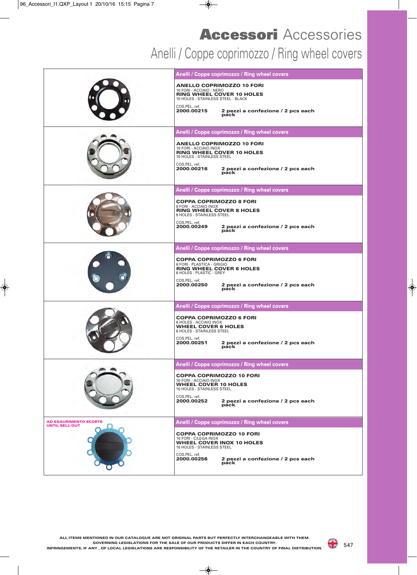## Anelli / Coppe coprimozzo / Ring wheel covers **Accessori** Accessories

|                                                       | Anelli / Coppe coprimozzo / Ring wheel covers<br><b>ANELLO COPRIMOZZO 10 FORI</b><br>10 FORI - ACCIAIO - NERO<br><b>RING WHEEL COVER 10 HOLES</b><br>10 HOLES - STAINLESS STEEL - BLACK<br>COS.PEL. ref.<br>2000.00215<br>2 pezzi a confezione / 2 pcs each<br>páck |
|-------------------------------------------------------|---------------------------------------------------------------------------------------------------------------------------------------------------------------------------------------------------------------------------------------------------------------------|
|                                                       | Anelli / Coppe coprimozzo / Ring wheel covers<br><b>ANELLO COPRIMOZZO 10 FORI</b><br>10 FORI - ACCIAIO INOX<br>RING WHEEL COVER 10 HOLES<br>10 HOLES - STAINLESS STEEL<br>COS.PEL. ref.<br>2 pezzi a confezione / 2 pcs each<br>2000.00216<br>páck                  |
|                                                       | Anelli / Coppe coprimozzo / Ring wheel covers<br><b>COPPA COPRIMOZZO 8 FORI</b><br>8 FORI - ACCIAIO INOX<br><b>RING WHEEL COVER 8 HOLES</b><br>8 HOLES - STAINLESS STEEL<br>COS.PEL. ref.<br>2000.00249<br>2 pezzi a confezione / 2 pcs each<br>páck                |
|                                                       | Anelli / Coppe coprimozzo / Ring wheel covers<br><b>COPPA COPRIMOZZO 6 FORI</b><br>6 FORI - PLASTICA - GRIGIO<br><b>RING WHEEL COVER 6 HOLES</b><br>6 HOLES - PLASTIC - GREY<br>COS.PEL. ref.<br>2000.00250<br>2 pezzi a confezione / 2 pcs each<br>páck            |
|                                                       | Anelli / Coppe coprimozzo / Ring wheel covers<br><b>COPPA COPRIMOZZO 6 FORI</b><br>6 HOLES - ACCIAIO INOX<br><b>WHEEL COVER 6 HOLES</b><br>6 HOLES - STAINLESS STEEL<br>COS.PEL. ref.<br>2000.00251<br>2 pezzi a confezione / 2 pcs each<br>páck                    |
|                                                       | Anelli / Coppe coprimozzo / Ring wheel covers<br><b>COPPA COPRIMOZZO 10 FORI</b><br>10 FORI - ACCIAIO INOX<br><b>WHEEL COVER 10 HOLES</b><br>10 HOLES - STAINLESS STEEL<br>COS.PEL. ref.<br>2 pezzi a confezione / 2 pcs each<br>2000.00252<br>páck                 |
| <b>AD ESAURIMENTO SCORTE</b><br><b>UNTIL SELL-OUT</b> | Anelli / Coppe coprimozzo / Ring wheel covers<br><b>COPPA COPRIMOZZO 10 FORI</b><br>10 FORI - C/LEGA INOX<br><b>WHEEL COVER INOX 10 HOLES</b><br>10 HOLES - STAINLESS STEEL<br>COS.PEL. ref.<br>2000.00256<br>2 pezzi a confezione / 2 pcs each<br>páck             |

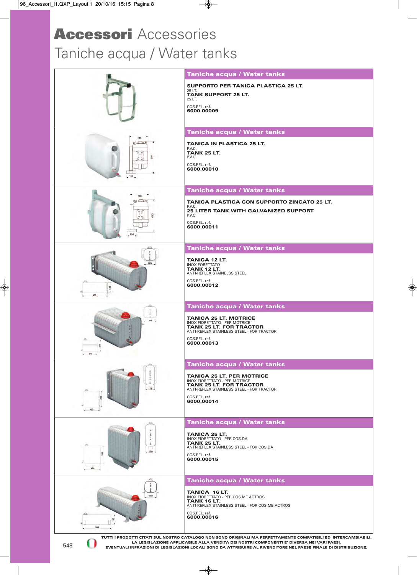# Taniche acqua / Water tanks **Accessori** Accessories

|                   | Taniche acqua / Water tanks                                                                                                                                                                                                                                                                                                      |
|-------------------|----------------------------------------------------------------------------------------------------------------------------------------------------------------------------------------------------------------------------------------------------------------------------------------------------------------------------------|
|                   | <b>SUPPORTO PER TANICA PLASTICA 25 LT.</b><br>25 LT.                                                                                                                                                                                                                                                                             |
|                   | <b>TANK SUPPORT 25 LT.</b><br>25 LT.                                                                                                                                                                                                                                                                                             |
|                   | COS.PEL. ref.                                                                                                                                                                                                                                                                                                                    |
|                   | 6000.00009                                                                                                                                                                                                                                                                                                                       |
|                   | Taniche acqua / Water tanks                                                                                                                                                                                                                                                                                                      |
|                   |                                                                                                                                                                                                                                                                                                                                  |
|                   | <b>TANICA IN PLASTICA 25 LT.</b><br>P.V.C.<br><b>TANK 25 LT.</b>                                                                                                                                                                                                                                                                 |
| $\sqrt{U}$<br>610 | P.V.C.                                                                                                                                                                                                                                                                                                                           |
|                   | COS.PEL. ref.<br>6000.00010                                                                                                                                                                                                                                                                                                      |
| 150               |                                                                                                                                                                                                                                                                                                                                  |
|                   | Taniche acqua / Water tanks                                                                                                                                                                                                                                                                                                      |
|                   | <b>TANICA PLASTICA CON SUPPORTO ZINCATO 25 LT.</b><br>P.V.C.                                                                                                                                                                                                                                                                     |
| 610               | <b>25 LITER TANK WITH GALVANIZED SUPPORT</b><br>P.V.C.                                                                                                                                                                                                                                                                           |
|                   | COS.PEL. ref.                                                                                                                                                                                                                                                                                                                    |
| 150               | 6000.00011                                                                                                                                                                                                                                                                                                                       |
|                   | Taniche acqua / Water tanks                                                                                                                                                                                                                                                                                                      |
|                   | TANICA 12 LT.                                                                                                                                                                                                                                                                                                                    |
| 170               | <b>INOX FORETTATO</b><br><b>TANK 12 LT.</b>                                                                                                                                                                                                                                                                                      |
|                   | ANTI-REFLEX STAINELSS STEEL<br>COS.PEL. ref.                                                                                                                                                                                                                                                                                     |
| 죞                 | 6000.00012                                                                                                                                                                                                                                                                                                                       |
|                   |                                                                                                                                                                                                                                                                                                                                  |
|                   | Taniche acqua / Water tanks                                                                                                                                                                                                                                                                                                      |
| 280               | <b>TANICA 25 LT. MOTRICE</b><br><b>INOX FIORETTATO - PER MOTRICE</b>                                                                                                                                                                                                                                                             |
|                   | <b>TANK 25 LT. FOR TRACTOR</b><br>ANTI-REFLEX STAINLESS STEEL - FOR TRACTOR                                                                                                                                                                                                                                                      |
|                   | COS.PEL. ref.                                                                                                                                                                                                                                                                                                                    |
|                   | 6000.00013                                                                                                                                                                                                                                                                                                                       |
|                   | <b>Taniche acqua / Water tanks</b>                                                                                                                                                                                                                                                                                               |
|                   | <b>TANICA 25 LT. PER MOTRICE</b>                                                                                                                                                                                                                                                                                                 |
|                   | <b>INOX FIORETTATO - PER MOTRICE</b><br><b>TANK 25 LT. FOR TRACTOR</b>                                                                                                                                                                                                                                                           |
|                   | ANTI-REFLEX STAINLESS STEEL - FOR TRACTOR<br>COS.PEL. ref.                                                                                                                                                                                                                                                                       |
|                   | 6000.00014                                                                                                                                                                                                                                                                                                                       |
|                   |                                                                                                                                                                                                                                                                                                                                  |
|                   | Taniche acqua / Water tanks                                                                                                                                                                                                                                                                                                      |
| 000               | <b>TANICA 25 LT.</b><br>INOX FIORETTATO - PER COS.DA                                                                                                                                                                                                                                                                             |
|                   | <b>TANK 25 LT.</b><br>ANTI-REFLEX STAINLESS STEEL - FOR COS.DA                                                                                                                                                                                                                                                                   |
| .170.             | COS.PEL. ref.<br>6000.00015                                                                                                                                                                                                                                                                                                      |
| 400               |                                                                                                                                                                                                                                                                                                                                  |
|                   | Taniche acqua / Water tanks                                                                                                                                                                                                                                                                                                      |
| 170               | TANICA 16 LT.                                                                                                                                                                                                                                                                                                                    |
|                   | INOX FIORETTATO - PER COS.ME ACTROS<br><b>TANK 16 LT.</b><br>ANTI-REFLEX STAINLESS STEEL - FOR COS.ME ACTROS                                                                                                                                                                                                                     |
|                   | COS.PEL. ref.                                                                                                                                                                                                                                                                                                                    |
|                   | 6000.00016                                                                                                                                                                                                                                                                                                                       |
|                   |                                                                                                                                                                                                                                                                                                                                  |
| 548               | TUTTI I PRODOTTI CITATI SUL NOSTRO CATALOGO NON SONO ORIGINALI MA PERFETTAMENTE COMPATIBILI ED INTERCAMBIABILI.<br>LA LEGISLAZIONE APPLICABILE ALLA VENDITA DEI NOSTRI COMPONENTI E' DIVERSA NEI VARI PAESI.<br>EVENTUALI INFRAZIONI DI LEGISLAZIONI LOCALI SONO DA ATTRIBUIRE AL RIVENDITORE NEL PAESE FINALE DI DISTRIBUZIONE. |

**EVENTUALI INFRAZIONI DI LEGISLAZIONI LOCALI SONO DA ATTRIBUIRE AL RIVENDITORE NEL PAESE FINALE DI DISTRIBUZIONE.**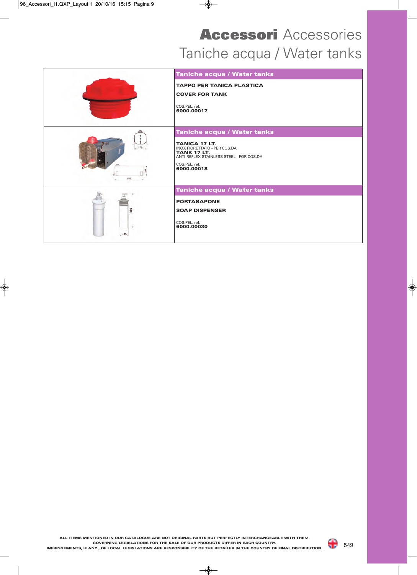# Taniche acqua / Water tanks **Accessori** Accessories

|               | Taniche acqua / Water tanks                                                                                                                           |
|---------------|-------------------------------------------------------------------------------------------------------------------------------------------------------|
|               | <b>TAPPO PER TANICA PLASTICA</b>                                                                                                                      |
|               | <b>COVER FOR TANK</b>                                                                                                                                 |
|               | COS.PEL. ref.<br>6000.00017                                                                                                                           |
|               | Taniche acqua / Water tanks                                                                                                                           |
| $-170$<br>550 | <b>TANICA 17 LT.</b><br>INOX FIORETTATO - PER COS.DA<br><b>TANK 17 LT.</b><br>ANTI-REFLEX STAINLESS STEEL - FOR COS.DA<br>COS.PEL. ref.<br>6000.00018 |
|               | Taniche acqua / Water tanks                                                                                                                           |
|               | <b>PORTASAPONE</b>                                                                                                                                    |
| 200           | <b>SOAP DISPENSER</b>                                                                                                                                 |
|               | COS.PEL. ref.<br>6000.00030                                                                                                                           |
| 655           |                                                                                                                                                       |



a P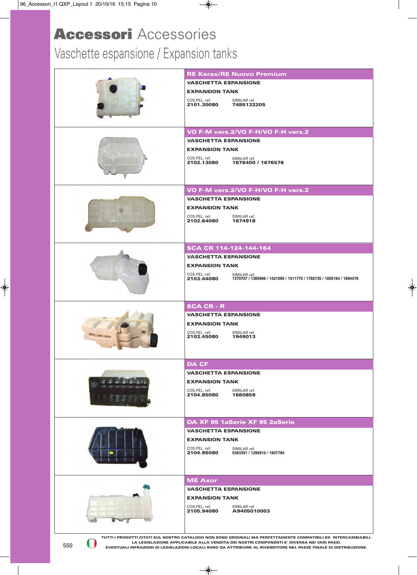# Vaschette espansione / Expansion tanks

|     | <b>RE Kerax/RE Nuovo Premium</b>                                                                                                                                                                             |
|-----|--------------------------------------------------------------------------------------------------------------------------------------------------------------------------------------------------------------|
|     | <b>VASCHETTA ESPANSIONE</b>                                                                                                                                                                                  |
|     | <b>EXPANSION TANK</b>                                                                                                                                                                                        |
|     | COS.PEL. ref.<br>SIMILAR ref.<br>2101.30080                                                                                                                                                                  |
|     | 7485132205                                                                                                                                                                                                   |
|     |                                                                                                                                                                                                              |
|     | VO F-M vers.2/VO F-H/VO F-H vers.2                                                                                                                                                                           |
|     | <b>VASCHETTA ESPANSIONE</b>                                                                                                                                                                                  |
|     | <b>EXPANSION TANK</b>                                                                                                                                                                                        |
|     | COS.PEL. ref.<br>SIMILAR ref.                                                                                                                                                                                |
|     | 2102.13080<br>1676400 / 1676576                                                                                                                                                                              |
|     |                                                                                                                                                                                                              |
|     |                                                                                                                                                                                                              |
|     | VO F-M vers.2/VO F-H/VO F-H vers.2                                                                                                                                                                           |
|     | <b>VASCHETTA ESPANSIONE</b>                                                                                                                                                                                  |
|     | <b>EXPANSION TANK</b>                                                                                                                                                                                        |
|     | COS.PEL. ref.<br>SIMILAR ref.<br>2102.64080<br>1674918                                                                                                                                                       |
|     |                                                                                                                                                                                                              |
|     |                                                                                                                                                                                                              |
|     | SCA CR 114-124-144-164                                                                                                                                                                                       |
|     | <b>VASCHETTA ESPANSIONE</b>                                                                                                                                                                                  |
|     | <b>EXPANSION TANK</b>                                                                                                                                                                                        |
|     | COS.PEL. ref.<br>SIMILAR ref.                                                                                                                                                                                |
|     | 2103.44080<br>1370707 / 1385966 / 1421090 / 1511775 / 1765735 / 1855164 / 1894478                                                                                                                            |
|     |                                                                                                                                                                                                              |
|     | <b>SCA CR - R</b>                                                                                                                                                                                            |
|     | <b>VASCHETTA ESPANSIONE</b>                                                                                                                                                                                  |
|     | <b>EXPANSION TANK</b>                                                                                                                                                                                        |
|     | COS.PEL. ref.<br>SIMILAR ref.                                                                                                                                                                                |
|     | 2103.45080<br>1949013                                                                                                                                                                                        |
|     |                                                                                                                                                                                                              |
|     |                                                                                                                                                                                                              |
|     | <b>DA CF</b>                                                                                                                                                                                                 |
|     | <b>VASCHETTA ESPANSIONE</b>                                                                                                                                                                                  |
|     | <b>EXPANSION TANK</b>                                                                                                                                                                                        |
|     | COS.PEL. ref.<br>SIMILAR ref.<br>1660859<br>2104.85080                                                                                                                                                       |
|     |                                                                                                                                                                                                              |
|     |                                                                                                                                                                                                              |
|     | DA XF 95 1aSerie XF 95 2aSerie                                                                                                                                                                               |
|     | <b>VASCHETTA ESPANSIONE</b>                                                                                                                                                                                  |
|     | <b>EXPANSION TANK</b>                                                                                                                                                                                        |
|     | COS.PEL. ref.<br>SIMILAR ref.<br>2104.95080<br>0393391 / 1295910 / 1607794                                                                                                                                   |
|     |                                                                                                                                                                                                              |
|     |                                                                                                                                                                                                              |
|     | <b>ME Axor</b>                                                                                                                                                                                               |
|     | <b>VASCHETTA ESPANSIONE</b>                                                                                                                                                                                  |
|     | <b>EXPANSION TANK</b>                                                                                                                                                                                        |
|     | COS.PEL. ref.<br>SIMILAR ref.                                                                                                                                                                                |
|     | 2105.94080<br>A9405010003                                                                                                                                                                                    |
|     |                                                                                                                                                                                                              |
|     | TUTTI I PRODOTTI CITATI SUL NOSTRO CATALOGO NON SONO ORIGINALI MA PERFETTAMENTE COMPATIBILI ED INTERCAMBIABILI.                                                                                              |
| 550 | LA LEGISLAZIONE APPLICABILE ALLA VENDITA DEI NOSTRI COMPONENTI E' DIVERSA NEI VARI PAESI.<br>EVENTUALLINERAZIONI DI LEGISI AZIONI LOCALI SONO DA ATTRIRUIRE AL RIVENDITORE NEL PAESE FINALE DI DISTRIRUZIONE |

550

**LA LEGISLAZIONE APPLICABILE ALLA VENDITA DEI NOSTRI COMPONENTI E' DIVERSA NEI VARI PAESI. EVENTUALI INFRAZIONI DI LEGISLAZIONI LOCALI SONO DA ATTRIBUIRE AL RIVENDITORE NEL PAESE FINALE DI DISTRIBUZIONE.**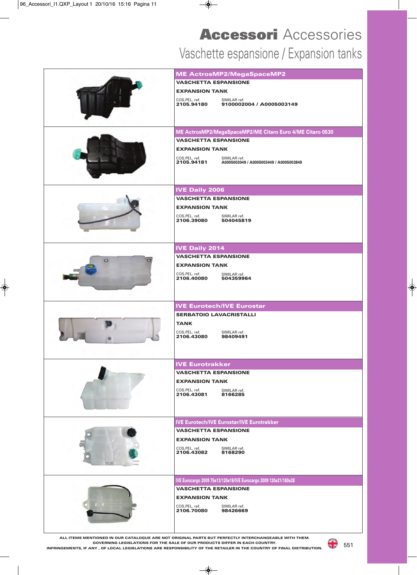## Vaschette espansione / Expansion tanks **Accessori** Accessories

|   | <b>ME ActrosMP2/MegaSpaceMP2</b>                                                                               |
|---|----------------------------------------------------------------------------------------------------------------|
|   | <b>VASCHETTA ESPANSIONE</b>                                                                                    |
|   | <b>EXPANSION TANK</b>                                                                                          |
|   | COS.PEL. ref.<br>SIMILAR ref.<br>9100002004 / A0005003149<br>2105.94180                                        |
|   | ME ActrosMP2/MegaSpaceMP2/ME Citaro Euro 4/ME Citaro 0530                                                      |
|   | <b>VASCHETTA ESPANSIONE</b>                                                                                    |
|   | <b>EXPANSION TANK</b>                                                                                          |
|   | COS.PEL. ref.<br>SIMILAR ref.<br>COS.PEL. ref.<br><b>2105.94181</b><br>A0005003049 / A0005003449 / A0005003849 |
|   | <b>IVE Daily 2006</b>                                                                                          |
|   | <b>VASCHETTA ESPANSIONE</b>                                                                                    |
|   | <b>EXPANSION TANK</b>                                                                                          |
|   | COS.PEL. ref.<br>SIMILAR ref.<br>COS.PEL. ref.<br><b>2106.39080</b><br>504045819                               |
|   |                                                                                                                |
|   |                                                                                                                |
|   |                                                                                                                |
|   | <b>IVE Daily 2014</b><br><b>VASCHETTA ESPANSIONE</b>                                                           |
| ິ |                                                                                                                |
|   | <b>EXPANSION TANK</b>                                                                                          |
|   | COS.PEL. ref.<br>SIMILAR ref.<br>504359964<br>2106.40080                                                       |
|   |                                                                                                                |
|   |                                                                                                                |
|   | <b>IVE Eurotech/IVE Eurostar</b>                                                                               |
|   | <b>SERBATOIO LAVACRISTALLI</b>                                                                                 |
|   | <b>TANK</b>                                                                                                    |
|   | COS.PEL. ref.<br>SIMILAR ref.<br>98409491<br>2106.43080                                                        |
|   |                                                                                                                |
|   |                                                                                                                |
|   | <b>IVE Eurotrakker</b>                                                                                         |
|   | <b>VASCHETTA ESPANSIONE</b>                                                                                    |
|   | <b>EXPANSION TANK</b>                                                                                          |
|   | COS.PEL. ref.<br>SIMILAR ref.                                                                                  |
|   | 2106.43081<br>8166285                                                                                          |
|   |                                                                                                                |
|   | <b>IVE Eurotech/IVE Eurostar/IVE Eurotrakker</b>                                                               |
|   | <b>VASCHETTA ESPANSIONE</b>                                                                                    |
|   | <b>EXPANSION TANK</b>                                                                                          |
|   | COS.PEL. ref.<br>SIMILAR ref.                                                                                  |
|   | 2106.43082<br>8168290                                                                                          |
|   |                                                                                                                |
|   |                                                                                                                |
|   | IVE Eurocargo 2009 75e13/120e18/IVE Eurocargo 2009 120e21/180e28                                               |
|   | <b>VASCHETTA ESPANSIONE</b>                                                                                    |
|   | <b>EXPANSION TANK</b>                                                                                          |
|   | COS.PEL. ref.<br>SIMILAR ref.<br>2106.70080<br>98426669                                                        |
|   |                                                                                                                |
|   |                                                                                                                |
|   |                                                                                                                |

**ALL ITEMS MENTIONED IN OUR CATALOGUE ARE NOT ORIGINAL PARTS BUT PERFECTLY INTERCHANGEABLE WITH THEM. GOVERNING LEGISLATIONS FOR THE SALE OF OUR PRODUCTS DIFFER IN EACH COUNTRY. INFRINGEMENTS, IF ANY , OF LOCAL LEGISLATIONS ARE RESPONSIBILITY OF THE RETAILER IN THE COUNTRY OF FINAL DISTRIBUTION.**

च ह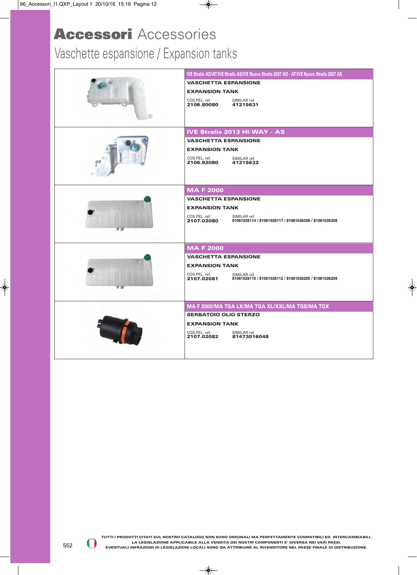#### Vaschette espansione / Expansion tanks

| IVE Stralis AD/AT/IVE Stralis AS/IVE Nuovo Stralis 2007 AD - AT/IVE Nuovo Stralis 2007 AS            |
|------------------------------------------------------------------------------------------------------|
| <b>VASCHETTA ESPANSIONE</b>                                                                          |
| <b>EXPANSION TANK</b>                                                                                |
| COS.PEL. ref.<br>SIMILAR ref.<br>2106.80080<br>41215631                                              |
|                                                                                                      |
|                                                                                                      |
| <b>IVE Stralis 2013 HI-WAY - AS</b>                                                                  |
| <b>VASCHETTA ESPANSIONE</b>                                                                          |
| <b>EXPANSION TANK</b>                                                                                |
| COS.PEL. ref.<br>SIMILAR ref.<br>2106.92080<br>41215632                                              |
|                                                                                                      |
|                                                                                                      |
| <b>MAF2000</b>                                                                                       |
| <b>VASCHETTA ESPANSIONE</b>                                                                          |
| <b>EXPANSION TANK</b>                                                                                |
| COS.PEL. ref.<br>SIMILAR ref.<br>2107.02080<br>81061026114 / 81061026117 / 81061026206 / 81061026208 |
|                                                                                                      |
|                                                                                                      |
| <b>MAF2000</b>                                                                                       |
| <b>VASCHETTA ESPANSIONE</b>                                                                          |
| <b>EXPANSION TANK</b>                                                                                |
| COS.PEL. ref.<br>SIMILAR ref.<br>2107.02081<br>81061026110 / 81061026112 / 81061026205 / 81061026209 |
|                                                                                                      |
|                                                                                                      |
| MA F 2000/MA TGA LX/MA TGA XL/XXL/MA TGS/MA TGX                                                      |
| <b>SERBATOIO OLIO STERZO</b>                                                                         |
| <b>EXPANSION TANK</b>                                                                                |
| COS.PEL. ref.<br>SIMILAR ref.<br>2107.02082<br>81473016048                                           |
|                                                                                                      |
|                                                                                                      |

U D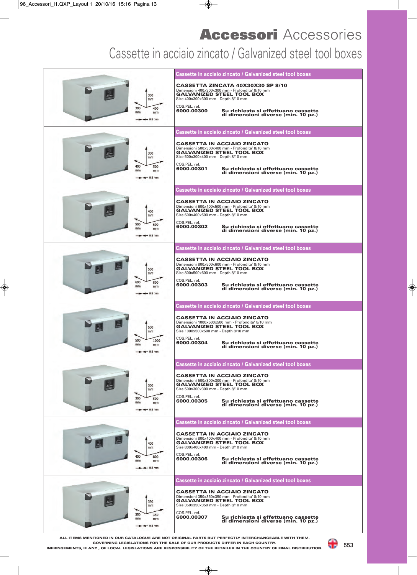#### Cassette in acciaio zincato / Galvanized steel tool boxes

|                                     | Cassette in acciaio zincato / Galvanized steel tool boxes                                                                                                                         |
|-------------------------------------|-----------------------------------------------------------------------------------------------------------------------------------------------------------------------------------|
| 300<br>mm                           | CASSETTA ZINCATA 40X30X30 SP 8/10<br>Dimensioni 400x300x300 mm - Profondita' 8/10 mm<br><b>GALVANIZED STEEL TOOL BOX</b><br>Size 400x300x300 mm - Depth 8/10 mm                   |
| 300<br>400<br>mm<br>mm<br>$0,8$ mm  | COS.PEL. ref.<br>6000.00300<br>Su richiesta si effettuano cassette<br>di dimensioni diverse (min. 10 pz.)                                                                         |
|                                     | Cassette in acciaio zincato / Galvanized steel tool boxes                                                                                                                         |
| 300<br>mm                           | <b>CASSETTA IN ACCIAIO ZINCATO</b><br>Dimensioni 500x300x400 mm - Profondita' 8/10 mm<br><b>GALVANIZED STEEL TOOL BOX</b><br>Size 500x300x400 mm - Depth 8/10 mm                  |
| 400<br>500<br>mm<br>mm<br>$0.8$ mm  | COS.PEL. ref.<br>6000.00301<br>Su richiesta si effettuano cassette<br>di dimensioni diverse (min. 10 pz.)                                                                         |
|                                     | Cassette in acciaio zincato / Galvanized steel tool boxes                                                                                                                         |
| 400<br>mm                           | <b>CASSETTA IN ACCIAIO ZINCATO</b><br>Dimensioni 600x400x500 mm - Profondita' 8/10 mm<br><b>GALVANIZED STEEL TOOL BOX</b><br>Size 600x400x500 mm - Depth 8/10 mm                  |
| 500<br>600<br>mm<br>mm<br>$0,8$ mm  | COS.PEL. ref.<br>6000.00302<br>Su richiesta si effettuano cassette<br>di dimensioni diverse (min. 10 pz.)                                                                         |
|                                     | Cassette in acciaio zincato / Galvanized steel tool boxes                                                                                                                         |
| 500<br>mm                           | <b>CASSETTA IN ACCIAIO ZINCATO</b><br>Dimensioni 800x500x600 mm - Profondita' 8/10 mm<br><b>GALVANIZED STEEL TOOL BOX</b><br>Size 800x500x600 mm - Depth 8/10 mm                  |
| 600<br>800<br>mm<br>mm<br>$0.8$ mm  | COS.PEL. ref.<br>6000.00303<br>Su richiesta si effettuano cassette<br>di dimensioni diverse (min. 10 pz.)                                                                         |
|                                     | Cassette in acciaio zincato / Galvanized steel tool boxes                                                                                                                         |
|                                     |                                                                                                                                                                                   |
| 500<br>mm                           | <b>CASSETTA IN ACCIAIO ZINCATO</b><br>Dimensioni 1000x500x500 mm - Profondita' 8/10 mm<br><b>GALVANIZED STEEL TOOL BOX</b><br>Size 1000x500x500 mm - Depth 8/10 mm                |
| 500<br>1000<br>mm<br>mm<br>$0.8$ mm | COS.PEL. ref.<br>6000.00304<br>Su richiesta si effettuano cassette<br>di dimensioni diverse (min. 10 pz.)                                                                         |
|                                     | Cassette in acciaio zincato / Galvanized steel tool boxes                                                                                                                         |
| 300<br>mm                           | <b>CASSETTA IN ACCIAIO ZINCATO</b><br>Dimensioni 500x300x300 mm - Profondita' 8/10 mm<br><b>GALVANIZED STEEL TOOL BOX</b><br>Size 500x300x300 mm - Depth 8/10 mm                  |
| 300<br>500<br>mm<br>mm<br>$0,8$ mm  | COS.PEL. ref.<br>6000.00305<br>Su richiesta si effettuano cassette<br>di dimensioni diverse (min. 10 pz.)                                                                         |
|                                     | Cassette in acciaio zincato / Galvanized steel tool boxes                                                                                                                         |
| 400<br>mm                           | <b>CASSETTA IN ACCIAIO ZINCATO</b><br>Dimensioni 800x400x400 mm - Profondita' 8/10 mm<br><b>GALVANIZED STEEL TOOL BOX</b><br>Size 800x400x400 mm - Depth 8/10 mm                  |
| 400<br>800<br>mm<br>mm<br>$0,8$ mm  | COS.PEL. ref.<br>6000.00306<br>Su richiesta si effettuano cassette<br>di dimensioni diverse (min. 10 pz.)                                                                         |
|                                     | Cassette in acciaio zincato / Galvanized steel tool boxes                                                                                                                         |
| 350<br>mm                           | <b>CASSETTA IN ACCIAIO ZINCATO</b><br>Dimensioni 350x350x350 mm - Profondita' 8/10 mm<br><b>GALVANIZED STEEL TOOL BOX</b><br>Size 350x350x350 mm - Depth 8/10 mm<br>COS.PEL. ref. |

**ALL ITEMS MENTIONED IN OUR CATALOGUE ARE NOT ORIGINAL PARTS BUT PERFECTLY INTERCHANGEABLE WITH THEM. GOVERNING LEGISLATIONS FOR THE SALE OF OUR PRODUCTS DIFFER IN EACH COUNTRY. INFRINGEMENTS, IF ANY , OF LOCAL LEGISLATIONS ARE RESPONSIBILITY OF THE RETAILER IN THE COUNTRY OF FINAL DISTRIBUTION.**

a e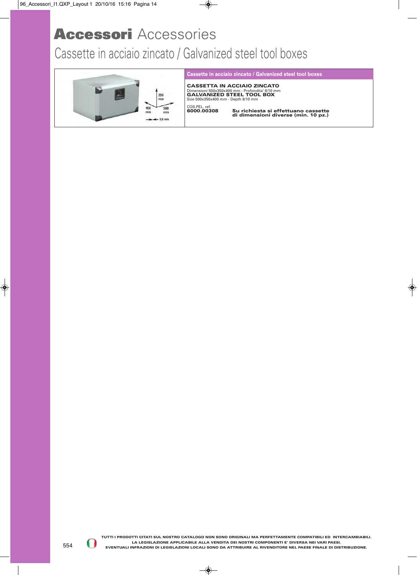#### Cassette in acciaio zincato / Galvanized steel tool boxes



#### **Cassette in acciaio zincato / Galvanized steel tool boxes**

**CASSETTA IN ACCIAIO ZINCATO** Dimensioni 500x350x400 mm - Profondita' 8/10 mm **GALVANIZED STEEL TOOL BOX** Size 500x350x400 mm - Depth 8/10 mm

COS.PEL. ref.<br>6000.00308

**6000.00308 Su richiesta si effettuano cassette di dimensioni diverse (min. 10 pz.)**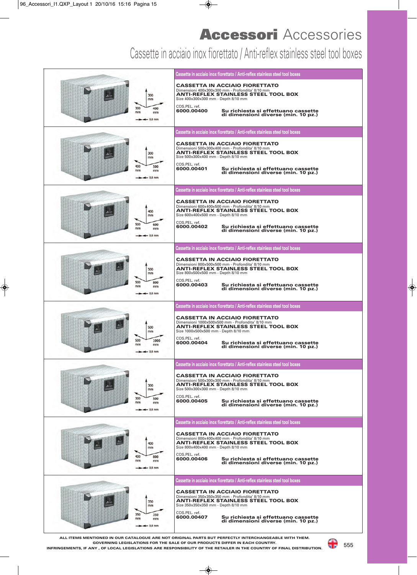#### Cassette in acciaio inox fiorettato / Anti-reflex stainless steel tool boxes

|                                                   | Cassette in acciaio inox fiorettato / Anti-reflex stainless steel tool boxes                                                                                                                                                                                                                  |
|---------------------------------------------------|-----------------------------------------------------------------------------------------------------------------------------------------------------------------------------------------------------------------------------------------------------------------------------------------------|
| 300<br>mm<br>300<br>400<br>mm<br>mm<br>$0,8$ mm   | <b>CASSETTA IN ACCIAIO FIORETTATO</b><br>Dimensioni 400x300x300 mm - Profondita' 8/10 mm<br><b>ANTI-REFLEX STAINLESS STEEL TOOL BOX</b><br>Size 400x300x300 mm - Depth 8/10 mm<br>COS.PEL. ref.<br>6000.00400<br>Su richiesta si effettuano cassette<br>di dimensioni diverse (min. 10 pz.)   |
|                                                   | Cassette in acciaio inox fiorettato / Anti-reflex stainless steel tool boxes                                                                                                                                                                                                                  |
| 300<br>mm<br>400<br>500<br>mm<br>mm<br>$0.8$ mm   | <b>CASSETTA IN ACCIAIO FIORETTATO</b><br>Dimensioni 500x300x400 mm - Profondita' 8/10 mm<br><b>ANTI-REFLEX STAINLESS STEEL TOOL BOX</b><br>Size 500x300x400 mm - Depth 8/10 mm<br>COS.PEL. ref.<br>6000.00401<br>Su richiesta si effettuano cassette<br>di dimensioni diverse (min. 10 pz.)   |
|                                                   | Cassette in acciaio inox fiorettato / Anti-reflex stainless steel tool boxes                                                                                                                                                                                                                  |
| 400<br>mm<br>500<br>600<br>mm<br>mm<br>$0,8$ mm   | <b>CASSETTA IN ACCIAIO FIORETTATO</b><br>Dimensioni 600x400x500 mm - Profondita' 8/10 mm<br><b>ANTI-REFLEX STAINLESS STEEL TOOL BOX</b><br>Size 600x400x500 mm - Depth 8/10 mm<br>COS.PEL. ref.<br>6000.00402<br>Su richiesta si effettuano cassette<br>di dimensioni diverse (min. 10 pz.)   |
|                                                   | Cassette in acciaio inox fiorettato / Anti-reflex stainless steel tool boxes                                                                                                                                                                                                                  |
| 500<br>mm<br>500<br>800<br>mm<br>mm<br>$0.8$ mm   | <b>CASSETTA IN ACCIAIO FIORETTATO</b><br>Dimensioni 800x500x500 mm - Profondita' 8/10 mm<br><b>ANTI-REFLEX STAINLESS STEEL TOOL BOX</b><br>Size 800x500x500 mm - Depth 8/10 mm<br>COS.PEL. ref.<br>6000.00403<br>Su richiesta si effettuano cassette<br>di dimensioni diverse (min. 10 pz.)   |
|                                                   | Cassette in acciaio inox fiorettato / Anti-reflex stainless steel tool boxes                                                                                                                                                                                                                  |
| 500<br>mm<br>500<br>1000<br>mm<br>mm<br>$-0,8$ mm | <b>CASSETTA IN ACCIAIO FIORETTATO</b><br>Dimensioni 1000x500x500 mm - Profondita' 8/10 mm<br><b>ANTI-REFLEX STAINLESS STEEL TOOL BOX</b><br>Size 1000x500x500 mm - Depth 8/10 mm<br>COS.PEL. ref.<br>6000.00404<br>Su richiesta si effettuano cassette<br>di dimensioni diverse (min. 10 pz.) |
|                                                   | Cassette in acciaio inox fiorettato / Anti-reflex stainless steel tool boxes                                                                                                                                                                                                                  |
| 300<br>mm<br>300<br>500<br>mm<br>mm<br>$0.8$ mm   | <b>CASSETTA IN ACCIAIO FIORETTATO</b><br>Dimensioni 500x300x300 mm - Profondita' 8/10 mm<br><b>ANTI-REFLEX STAINLESS STEEL TOOL BOX</b><br>Size 500x300x300 mm - Depth 8/10 mm<br>COS.PEL. ref.<br>6000.00405<br>Su richiesta si effettuano cassette<br>di dimensioni diverse (min. 10 pz.)   |
|                                                   | Cassette in acciaio inox fiorettato / Anti-reflex stainless steel tool boxes                                                                                                                                                                                                                  |
| 400<br>mm<br>400<br>800<br>mm<br>mm<br>$0,8$ mm   | <b>CASSETTA IN ACCIAIO FIORETTATO</b><br>Dimensioni 800x400x400 mm - Profondita' 8/10 mm<br><b>ANTI-REFLEX STAINLESS STEEL TOOL BOX</b><br>Size 800x400x400 mm - Depth 8/10 mm<br>COS.PEL. ref.<br>6000.00406<br>Su richiesta si effettuano cassette<br>di dimensioni diverse (min. 10 pz.)   |
|                                                   | Cassette in acciaio inox fiorettato / Anti-reflex stainless steel tool boxes                                                                                                                                                                                                                  |
| 350<br>mm<br>350<br>350                           | <b>CASSETTA IN ACCIAIO FIORETTATO</b><br>Dimensioni 350x350x350 mm - Profondita' 8/10 mm<br><b>ANTI-REFLEX STAINLESS STEEL TOOL BOX</b><br>Size 350x350x350 mm - Depth 8/10 mm<br>COS.PEL. ref.                                                                                               |
| mm<br>mm<br>$0.8$ mm                              | 6000.00407<br>Su richiesta si effettuano cassette<br>di dimensioni diverse (min. 10 pz.)                                                                                                                                                                                                      |

**ALL ITEMS MENTIONED IN OUR CATALOGUE ARE NOT ORIGINAL PARTS BUT PERFECTLY INTERCHANGEABLE WITH THEM. GOVERNING LEGISLATIONS FOR THE SALE OF OUR PRODUCTS DIFFER IN EACH COUNTRY. INFRINGEMENTS, IF ANY , OF LOCAL LEGISLATIONS ARE RESPONSIBILITY OF THE RETAILER IN THE COUNTRY OF FINAL DISTRIBUTION.**

a s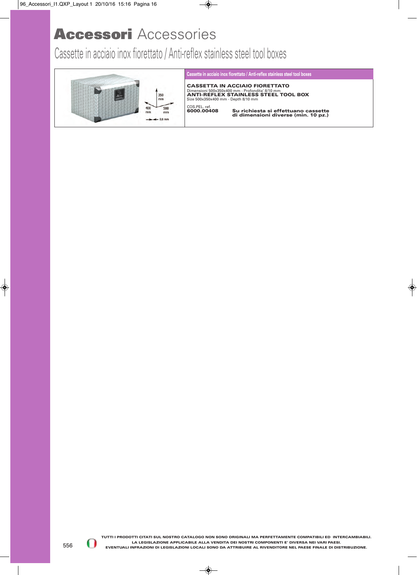Cassette in acciaio inox fiorettato / Anti-reflex stainless steel tool boxes



#### **Cassette in acciaio inox fiorettato / Anti-reflex stainless steel tool boxes**

**CASSETTA IN ACCIAIO FIORETTATO** Dimensioni 500x350x400 mm - Profondita′ 8/10 mm<br>**ANTI-REFLEX STAINLESS STEEL TOOL BOX**<br>Size 500x350x400 mm - Depth 8/10 mm COS.PEL. ref.<br>6000.00408

**6000.00408 Su richiesta si effettuano cassette di dimensioni diverse (min. 10 pz.)**